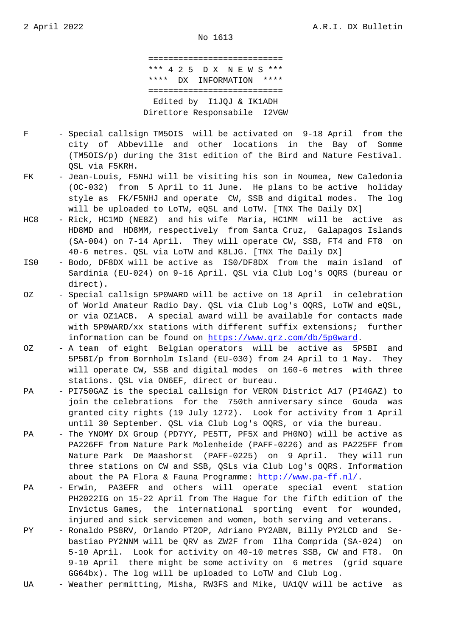=========================== \*\*\* 4 2 5 D X N E W S \*\*\* \*\*\*\* DX INFORMATION \*\*\*\* =========================== Edited by I1JQJ & IK1ADH Direttore Responsabile I2VGW

- F Special callsign TM5OIS will be activated on 9-18 April from the city of Abbeville and other locations in the Bay of Somme (TM5OIS/p) during the 31st edition of the Bird and Nature Festival. QSL via F5KRH.
- FK Jean-Louis, F5NHJ will be visiting his son in Noumea, New Caledonia (OC-032) from 5 April to 11 June. He plans to be active holiday style as FK/F5NHJ and operate CW, SSB and digital modes. The log will be uploaded to LoTW, eQSL and LoTW. [TNX The Daily DX]
- HC8 Rick, HC1MD (NE8Z) and his wife Maria, HC1MM will be active as HD8MD and HD8MM, respectively from Santa Cruz, Galapagos Islands (SA-004) on 7-14 April. They will operate CW, SSB, FT4 and FT8 on 40-6 metres. QSL via LoTW and K8LJG. [TNX The Daily DX]
- IS0 Bodo, DF8DX will be active as IS0/DF8DX from the main island of Sardinia (EU-024) on 9-16 April. QSL via Club Log's OQRS (bureau or direct).
- OZ Special callsign 5P0WARD will be active on 18 April in celebration of World Amateur Radio Day. QSL via Club Log's OQRS, LoTW and eQSL, or via OZ1ACB. A special award will be available for contacts made with 5P0WARD/xx stations with different suffix extensions; further information can be found on https://www.qrz.com/db/5p0ward.
- OZ A team of eight Belgian operators will be active as 5P5BI and 5P5BI/p from Bornholm Island (EU-030) from 24 April to 1 May. They will operate CW, SSB and di[gital modes on 160-6 metres w](https://www.qrz.com/db/5p0ward)ith three stations. QSL via ON6EF, direct or bureau.
- PA PI750GAZ is the special callsign for VERON District A17 (PI4GAZ) to join the celebrations for the 750th anniversary since Gouda was granted city rights (19 July 1272). Look for activity from 1 April until 30 September. QSL via Club Log's OQRS, or via the bureau.
- PA The YNOMY DX Group (PD7YY, PE5TT, PF5X and PH0NO) will be active as PA226FF from Nature Park Molenheide (PAFF-0226) and as PA225FF from Nature Park De Maashorst (PAFF-0225) on 9 April. They will run three stations on CW and SSB, QSLs via Club Log's OQRS. Information about the PA Flora & Fauna Programme: http://www.pa-ff.nl/.
- PA Erwin, PA3EFR and others will operate special event station PH2022IG on 15-22 April from The Hague for the fifth edition of the Invictus Games, the international [sporting event for](http://www.pa-ff.nl/) wounded, injured and sick servicemen and women, both serving and veterans.
- PY Ronaldo PS8RV, Orlando PT2OP, Adriano PY2ABN, Billy PY2LCD and Se bastiao PY2NNM will be QRV as ZW2F from Ilha Comprida (SA-024) on 5-10 April. Look for activity on 40-10 metres SSB, CW and FT8. On 9-10 April there might be some activity on 6 metres (grid square GG64bx). The log will be uploaded to LoTW and Club Log.
- UA Weather permitting, Misha, RW3FS and Mike, UA1QV will be active as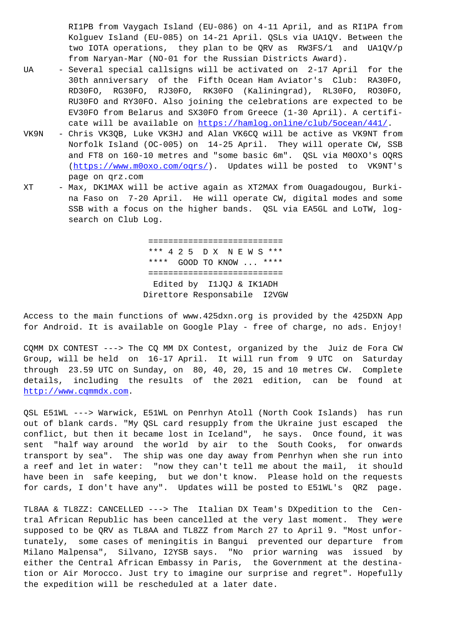Kolguev Island (EU-085) on 14-21 April. QSLs via UA1QV. Between the two IOTA operations, they plan to be QRV as RW3FS/1 and UA1QV/p from Naryan-Mar (NO-01 for the Russian Districts Award).

- UA Several special callsigns will be activated on 2-17 April for the 30th anniversary of the Fifth Ocean Ham Aviator's Club: RA30FO, RD30FO, RG30FO, RJ30FO, RK30FO (Kaliningrad), RL30FO, RO30FO, RU30FO and RY30FO. Also joining the celebrations are expected to be EV30FO from Belarus and SX30FO from Greece (1-30 April). A certifi cate will be available on https://hamlog.online/club/5ocean/441/.
- VK9N Chris VK3QB, Luke VK3HJ and Alan VK6CQ will be active as VK9NT from Norfolk Island (OC-005) on 14-25 April. They will operate CW, SSB and FT8 on 160-10 metres and "some basic 6m". QSL via M0OXO's OQRS (https://www.m0oxo.com/oq[rs/\). Updates will be posted to VK9NT](https://hamlog.online/club/5ocean/441/)'s page on qrz.com
- XT Max, DK1MAX will be active again as XT2MAX from Ouagadougou, Burki [na Faso on 7-20 April. He](https://www.m0oxo.com/oqrs/) will operate CW, digital modes and some SSB with a focus on the higher bands. QSL via EA5GL and LoTW, log search on Club Log.

 =========================== \*\*\* 4 2 5 D X N E W S \*\*\* \*\*\*\* GOOD TO KNOW ... \*\*\*\* =========================== Edited by I1JQJ & IK1ADH Direttore Responsabile I2VGW

Access to the main functions of www.425dxn.org is provided by the 425DXN App for Android. It is available on Google Play - free of charge, no ads. Enjoy!

CQMM DX CONTEST ---> The CQ MM DX Contest, organized by the Juiz de Fora CW Group, will be held on 16-17 April. It will run from 9 UTC on Saturday through 23.59 UTC on Sunday, on 80, 40, 20, 15 and 10 metres CW. Complete details, including the results of the 2021 edition, can be found at http://www.cqmmdx.com.

QSL E51WL ---> Warwick, E51WL on Penrhyn Atoll (North Cook Islands) has run out of blank cards. "My QSL card resupply from the Ukraine just escaped the [conflict, but then it](http://www.cqmmdx.com) became lost in Iceland", he says. Once found, it was sent "half way around the world by air to the South Cooks, for onwards transport by sea". The ship was one day away from Penrhyn when she run into a reef and let in water: "now they can't tell me about the mail, it should have been in safe keeping, but we don't know. Please hold on the requests for cards, I don't have any". Updates will be posted to E51WL's QRZ page.

TL8AA & TL8ZZ: CANCELLED ---> The Italian DX Team's DXpedition to the Central African Republic has been cancelled at the very last moment. They were supposed to be QRV as TL8AA and TL8ZZ from March 27 to April 9. "Most unfortunately, some cases of meningitis in Bangui prevented our departure from Milano Malpensa", Silvano, I2YSB says. "No prior warning was issued by either the Central African Embassy in Paris, the Government at the destination or Air Morocco. Just try to imagine our surprise and regret". Hopefully the expedition will be rescheduled at a later date.